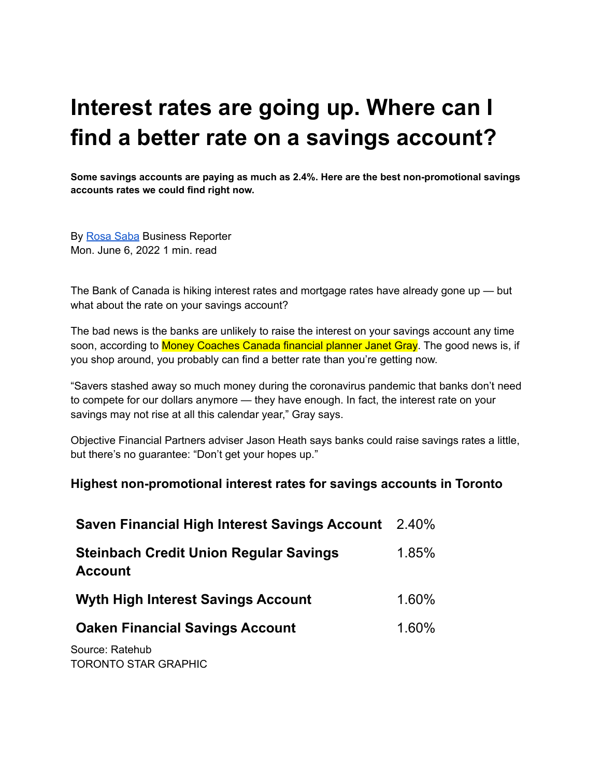## **Interest rates are going up. Where can I find a better rate on a savings account?**

**Some savings accounts are paying as much as 2.4%. Here are the best non-promotional savings accounts rates we could find right now.**

By [Rosa](https://www.thestar.com/authors.saba_rosa.html) Saba Business Reporter Mon. June 6, 2022 1 min. read

The Bank of Canada is hiking interest rates and mortgage rates have already gone up — but what about the rate on your savings account?

The bad news is the banks are unlikely to raise the interest on your savings account any time soon, according to Money Coaches Canada financial planner Janet Gray. The good news is, if you shop around, you probably can find a better rate than you're getting now.

"Savers stashed away so much money during the coronavirus pandemic that banks don't need to compete for our dollars anymore — they have enough. In fact, the interest rate on your savings may not rise at all this calendar year," Gray says.

Objective Financial Partners adviser Jason Heath says banks could raise savings rates a little, but there's no guarantee: "Don't get your hopes up."

## **Highest non-promotional interest rates for savings accounts in Toronto**

| <b>Saven Financial High Interest Savings Account</b> 2.40%      |       |
|-----------------------------------------------------------------|-------|
| <b>Steinbach Credit Union Regular Savings</b><br><b>Account</b> | 1.85% |
| <b>Wyth High Interest Savings Account</b>                       | 1.60% |
| <b>Oaken Financial Savings Account</b>                          | 1.60% |
| Source: Ratehub<br>TORONTO STAR GRAPHIC                         |       |